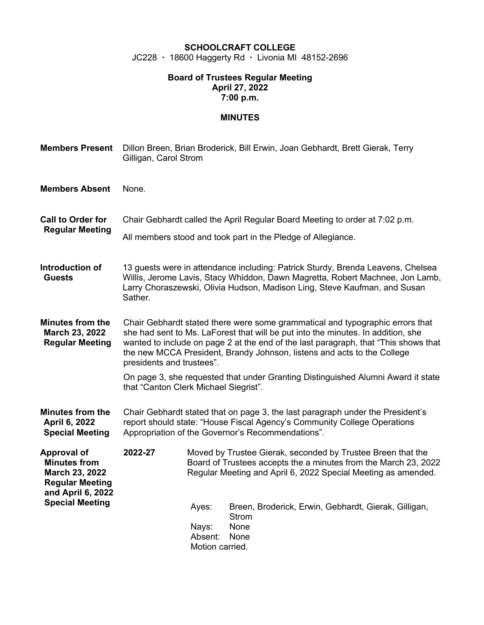## **SCHOOLCRAFT COLLEGE**

JC228 · 18600 Haggerty Rd · Livonia MI 48152-2696

## **Board of Trustees Regular Meeting April 27, 2022 7:00 p.m.**

## **MINUTES**

| <b>Members Present</b>                                                                                                               | Dillon Breen, Brian Broderick, Bill Erwin, Joan Gebhardt, Brett Gierak, Terry<br>Gilligan, Carol Strom                                                                                                                                                                                                                                                           |                                                                                                                                                                                                 |                                                                                      |  |  |
|--------------------------------------------------------------------------------------------------------------------------------------|------------------------------------------------------------------------------------------------------------------------------------------------------------------------------------------------------------------------------------------------------------------------------------------------------------------------------------------------------------------|-------------------------------------------------------------------------------------------------------------------------------------------------------------------------------------------------|--------------------------------------------------------------------------------------|--|--|
| <b>Members Absent</b>                                                                                                                | None.                                                                                                                                                                                                                                                                                                                                                            |                                                                                                                                                                                                 |                                                                                      |  |  |
| <b>Call to Order for</b><br><b>Regular Meeting</b>                                                                                   | Chair Gebhardt called the April Regular Board Meeting to order at 7:02 p.m.<br>All members stood and took part in the Pledge of Allegiance.                                                                                                                                                                                                                      |                                                                                                                                                                                                 |                                                                                      |  |  |
| Introduction of<br><b>Guests</b>                                                                                                     | 13 guests were in attendance including: Patrick Sturdy, Brenda Leavens, Chelsea<br>Willis, Jerome Lavis, Stacy Whiddon, Dawn Magretta, Robert Machnee, Jon Lamb,<br>Larry Choraszewski, Olivia Hudson, Madison Ling, Steve Kaufman, and Susan<br>Sather.                                                                                                         |                                                                                                                                                                                                 |                                                                                      |  |  |
| <b>Minutes from the</b><br>March 23, 2022<br><b>Regular Meeting</b>                                                                  | Chair Gebhardt stated there were some grammatical and typographic errors that<br>she had sent to Ms. LaForest that will be put into the minutes. In addition, she<br>wanted to include on page 2 at the end of the last paragraph, that "This shows that<br>the new MCCA President, Brandy Johnson, listens and acts to the College<br>presidents and trustees". |                                                                                                                                                                                                 |                                                                                      |  |  |
|                                                                                                                                      | On page 3, she requested that under Granting Distinguished Alumni Award it state<br>that "Canton Clerk Michael Siegrist".                                                                                                                                                                                                                                        |                                                                                                                                                                                                 |                                                                                      |  |  |
| <b>Minutes from the</b><br>April 6, 2022<br><b>Special Meeting</b>                                                                   | Chair Gebhardt stated that on page 3, the last paragraph under the President's<br>report should state: "House Fiscal Agency's Community College Operations<br>Appropriation of the Governor's Recommendations".                                                                                                                                                  |                                                                                                                                                                                                 |                                                                                      |  |  |
| <b>Approval of</b><br><b>Minutes from</b><br>March 23, 2022<br><b>Regular Meeting</b><br>and April 6, 2022<br><b>Special Meeting</b> | 2022-27                                                                                                                                                                                                                                                                                                                                                          | Moved by Trustee Gierak, seconded by Trustee Breen that the<br>Board of Trustees accepts the a minutes from the March 23, 2022<br>Regular Meeting and April 6, 2022 Special Meeting as amended. |                                                                                      |  |  |
|                                                                                                                                      |                                                                                                                                                                                                                                                                                                                                                                  | Ayes:<br>Nays:<br>Absent:<br>Motion carried.                                                                                                                                                    | Breen, Broderick, Erwin, Gebhardt, Gierak, Gilligan,<br><b>Strom</b><br>None<br>None |  |  |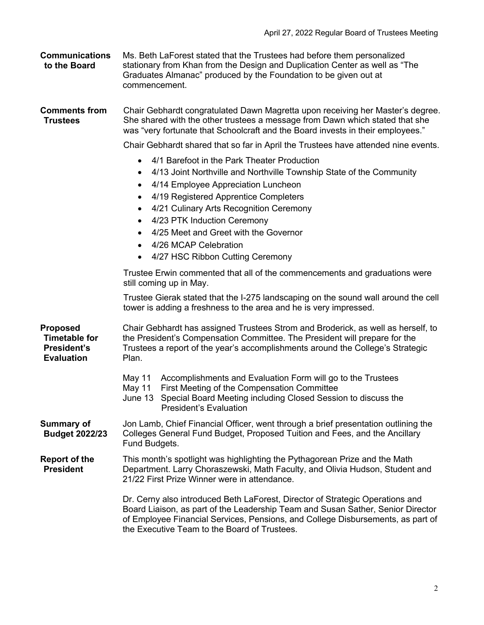| <b>Communications</b><br>to the Board                                       | Ms. Beth LaForest stated that the Trustees had before them personalized<br>stationary from Khan from the Design and Duplication Center as well as "The<br>Graduates Almanac" produced by the Foundation to be given out at<br>commencement.                                                                                                                                                                                                                                                      |  |  |  |  |  |
|-----------------------------------------------------------------------------|--------------------------------------------------------------------------------------------------------------------------------------------------------------------------------------------------------------------------------------------------------------------------------------------------------------------------------------------------------------------------------------------------------------------------------------------------------------------------------------------------|--|--|--|--|--|
| <b>Comments from</b><br><b>Trustees</b>                                     | Chair Gebhardt congratulated Dawn Magretta upon receiving her Master's degree.<br>She shared with the other trustees a message from Dawn which stated that she<br>was "very fortunate that Schoolcraft and the Board invests in their employees."                                                                                                                                                                                                                                                |  |  |  |  |  |
|                                                                             | Chair Gebhardt shared that so far in April the Trustees have attended nine events.                                                                                                                                                                                                                                                                                                                                                                                                               |  |  |  |  |  |
|                                                                             | 4/1 Barefoot in the Park Theater Production<br>$\bullet$<br>4/13 Joint Northville and Northville Township State of the Community<br>٠<br>4/14 Employee Appreciation Luncheon<br>$\bullet$<br>4/19 Registered Apprentice Completers<br>$\bullet$<br>4/21 Culinary Arts Recognition Ceremony<br>$\bullet$<br>4/23 PTK Induction Ceremony<br>$\bullet$<br>4/25 Meet and Greet with the Governor<br>$\bullet$<br>4/26 MCAP Celebration<br>$\bullet$<br>4/27 HSC Ribbon Cutting Ceremony<br>$\bullet$ |  |  |  |  |  |
|                                                                             | Trustee Erwin commented that all of the commencements and graduations were                                                                                                                                                                                                                                                                                                                                                                                                                       |  |  |  |  |  |
|                                                                             | still coming up in May.<br>Trustee Gierak stated that the I-275 landscaping on the sound wall around the cell<br>tower is adding a freshness to the area and he is very impressed.                                                                                                                                                                                                                                                                                                               |  |  |  |  |  |
| <b>Proposed</b><br><b>Timetable for</b><br>President's<br><b>Evaluation</b> | Chair Gebhardt has assigned Trustees Strom and Broderick, as well as herself, to<br>the President's Compensation Committee. The President will prepare for the<br>Trustees a report of the year's accomplishments around the College's Strategic<br>Plan.                                                                                                                                                                                                                                        |  |  |  |  |  |
|                                                                             | Accomplishments and Evaluation Form will go to the Trustees<br>May 11<br>First Meeting of the Compensation Committee<br>May 11<br>Special Board Meeting including Closed Session to discuss the<br>June 13<br><b>President's Evaluation</b>                                                                                                                                                                                                                                                      |  |  |  |  |  |
| <b>Summary of</b><br><b>Budget 2022/23</b>                                  | Jon Lamb, Chief Financial Officer, went through a brief presentation outlining the<br>Colleges General Fund Budget, Proposed Tuition and Fees, and the Ancillary<br>Fund Budgets.                                                                                                                                                                                                                                                                                                                |  |  |  |  |  |
| <b>Report of the</b><br><b>President</b>                                    | This month's spotlight was highlighting the Pythagorean Prize and the Math<br>Department. Larry Choraszewski, Math Faculty, and Olivia Hudson, Student and<br>21/22 First Prize Winner were in attendance.                                                                                                                                                                                                                                                                                       |  |  |  |  |  |
|                                                                             | Dr. Cerny also introduced Beth LaForest, Director of Strategic Operations and<br>Board Liaison, as part of the Leadership Team and Susan Sather, Senior Director<br>of Employee Financial Services, Pensions, and College Disbursements, as part of<br>the Executive Team to the Board of Trustees.                                                                                                                                                                                              |  |  |  |  |  |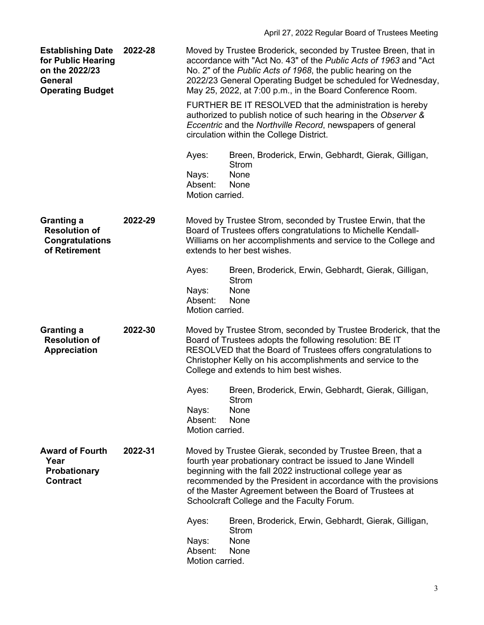| <b>Establishing Date</b><br>for Public Hearing<br>on the 2022/23<br><b>General</b><br><b>Operating Budget</b> | 2022-28 |                                                                                                                                                                                                                                                                                                                                                                     | Moved by Trustee Broderick, seconded by Trustee Breen, that in<br>accordance with "Act No. 43" of the Public Acts of 1963 and "Act<br>No. 2" of the Public Acts of 1968, the public hearing on the<br>2022/23 General Operating Budget be scheduled for Wednesday,<br>May 25, 2022, at 7:00 p.m., in the Board Conference Room. |  |
|---------------------------------------------------------------------------------------------------------------|---------|---------------------------------------------------------------------------------------------------------------------------------------------------------------------------------------------------------------------------------------------------------------------------------------------------------------------------------------------------------------------|---------------------------------------------------------------------------------------------------------------------------------------------------------------------------------------------------------------------------------------------------------------------------------------------------------------------------------|--|
|                                                                                                               |         | FURTHER BE IT RESOLVED that the administration is hereby<br>authorized to publish notice of such hearing in the Observer &<br>Eccentric and the Northville Record, newspapers of general<br>circulation within the College District.                                                                                                                                |                                                                                                                                                                                                                                                                                                                                 |  |
|                                                                                                               |         | Ayes:                                                                                                                                                                                                                                                                                                                                                               | Breen, Broderick, Erwin, Gebhardt, Gierak, Gilligan,<br><b>Strom</b>                                                                                                                                                                                                                                                            |  |
|                                                                                                               |         | Nays:<br>Absent:<br>Motion carried.                                                                                                                                                                                                                                                                                                                                 | None<br>None                                                                                                                                                                                                                                                                                                                    |  |
| <b>Granting a</b><br><b>Resolution of</b><br><b>Congratulations</b><br>of Retirement                          | 2022-29 |                                                                                                                                                                                                                                                                                                                                                                     | Moved by Trustee Strom, seconded by Trustee Erwin, that the<br>Board of Trustees offers congratulations to Michelle Kendall-<br>Williams on her accomplishments and service to the College and<br>extends to her best wishes.                                                                                                   |  |
|                                                                                                               |         | Ayes:<br>Nays:                                                                                                                                                                                                                                                                                                                                                      | Breen, Broderick, Erwin, Gebhardt, Gierak, Gilligan,<br><b>Strom</b><br>None                                                                                                                                                                                                                                                    |  |
|                                                                                                               |         | Absent:<br>Motion carried.                                                                                                                                                                                                                                                                                                                                          | None                                                                                                                                                                                                                                                                                                                            |  |
| <b>Granting a</b><br><b>Resolution of</b><br><b>Appreciation</b>                                              | 2022-30 | Moved by Trustee Strom, seconded by Trustee Broderick, that the<br>Board of Trustees adopts the following resolution: BE IT<br>RESOLVED that the Board of Trustees offers congratulations to<br>Christopher Kelly on his accomplishments and service to the<br>College and extends to him best wishes.                                                              |                                                                                                                                                                                                                                                                                                                                 |  |
|                                                                                                               |         | Ayes:                                                                                                                                                                                                                                                                                                                                                               | Breen, Broderick, Erwin, Gebhardt, Gierak, Gilligan,<br>Strom                                                                                                                                                                                                                                                                   |  |
|                                                                                                               |         | Nays:<br>Absent:<br>Motion carried.                                                                                                                                                                                                                                                                                                                                 | None<br>None                                                                                                                                                                                                                                                                                                                    |  |
| <b>Award of Fourth</b><br>2022-31<br>Year<br><b>Probationary</b><br><b>Contract</b>                           |         | Moved by Trustee Gierak, seconded by Trustee Breen, that a<br>fourth year probationary contract be issued to Jane Windell<br>beginning with the fall 2022 instructional college year as<br>recommended by the President in accordance with the provisions<br>of the Master Agreement between the Board of Trustees at<br>Schoolcraft College and the Faculty Forum. |                                                                                                                                                                                                                                                                                                                                 |  |
|                                                                                                               |         | Ayes:                                                                                                                                                                                                                                                                                                                                                               | Breen, Broderick, Erwin, Gebhardt, Gierak, Gilligan,<br><b>Strom</b>                                                                                                                                                                                                                                                            |  |
|                                                                                                               |         | Nays:<br>Absent:<br>Motion carried.                                                                                                                                                                                                                                                                                                                                 | None<br>None                                                                                                                                                                                                                                                                                                                    |  |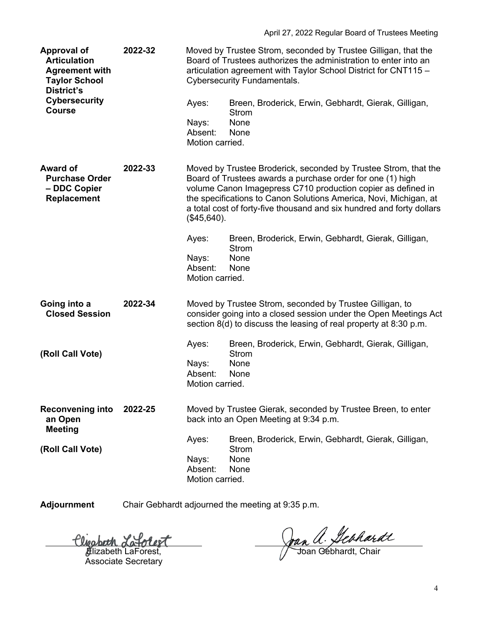| <b>Approval of</b><br><b>Articulation</b><br><b>Agreement with</b><br><b>Taylor School</b><br><b>District's</b><br><b>Cybersecurity</b><br><b>Course</b> | 2022-32 | Ayes:<br>Nays:<br>Absent:<br>Motion carried.                                                                                                                                                      | Moved by Trustee Strom, seconded by Trustee Gilligan, that the<br>Board of Trustees authorizes the administration to enter into an<br>articulation agreement with Taylor School District for CNT115 -<br><b>Cybersecurity Fundamentals.</b><br>Breen, Broderick, Erwin, Gebhardt, Gierak, Gilligan,<br><b>Strom</b><br>None<br>None                                                                                                 |
|----------------------------------------------------------------------------------------------------------------------------------------------------------|---------|---------------------------------------------------------------------------------------------------------------------------------------------------------------------------------------------------|-------------------------------------------------------------------------------------------------------------------------------------------------------------------------------------------------------------------------------------------------------------------------------------------------------------------------------------------------------------------------------------------------------------------------------------|
| <b>Award of</b><br><b>Purchase Order</b><br>- DDC Copier<br><b>Replacement</b>                                                                           | 2022-33 | (\$45,640).<br>Ayes:<br>Nays:<br>Absent:<br>Motion carried.                                                                                                                                       | Moved by Trustee Broderick, seconded by Trustee Strom, that the<br>Board of Trustees awards a purchase order for one (1) high<br>volume Canon Imagepress C710 production copier as defined in<br>the specifications to Canon Solutions America, Novi, Michigan, at<br>a total cost of forty-five thousand and six hundred and forty dollars<br>Breen, Broderick, Erwin, Gebhardt, Gierak, Gilligan,<br><b>Strom</b><br>None<br>None |
| Going into a<br><b>Closed Session</b>                                                                                                                    | 2022-34 | Moved by Trustee Strom, seconded by Trustee Gilligan, to<br>consider going into a closed session under the Open Meetings Act<br>section 8(d) to discuss the leasing of real property at 8:30 p.m. |                                                                                                                                                                                                                                                                                                                                                                                                                                     |
| (Roll Call Vote)                                                                                                                                         |         | Ayes:<br>Nays:<br>Absent:<br>Motion carried.                                                                                                                                                      | Breen, Broderick, Erwin, Gebhardt, Gierak, Gilligan,<br><b>Strom</b><br>None<br>None                                                                                                                                                                                                                                                                                                                                                |
| <b>Reconvening into</b><br>an Open<br><b>Meeting</b>                                                                                                     | 2022-25 | Moved by Trustee Gierak, seconded by Trustee Breen, to enter<br>back into an Open Meeting at 9:34 p.m.                                                                                            |                                                                                                                                                                                                                                                                                                                                                                                                                                     |
| (Roll Call Vote)                                                                                                                                         |         | Ayes:<br>Nays:<br>Absent:<br>Motion carried.                                                                                                                                                      | Breen, Broderick, Erwin, Gebhardt, Gierak, Gilligan,<br><b>Strom</b><br>None<br>None                                                                                                                                                                                                                                                                                                                                                |

**Adjournment** Chair Gebhardt adjourned the meeting at 9:35 p.m.

**∄**lizabeth LaForest, Associate Secretary

Joan a. Hebhardt